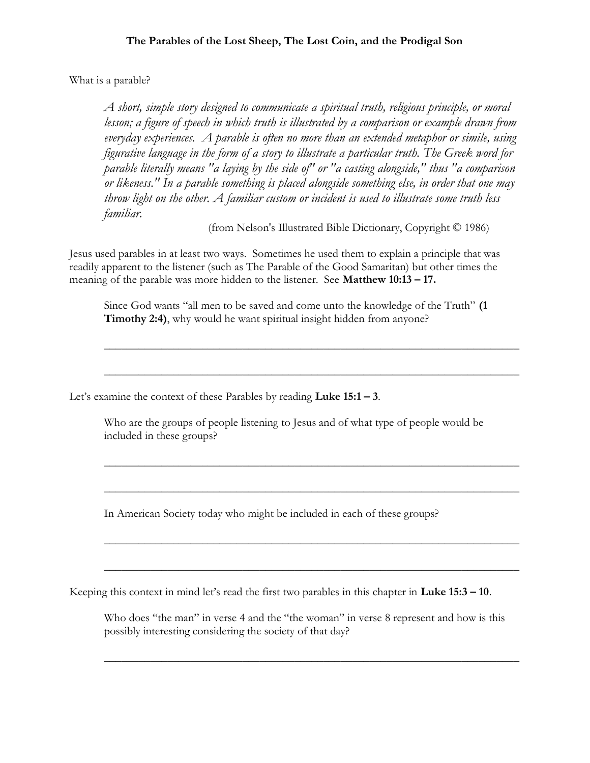What is a parable?

A short, simple story designed to communicate a spiritual truth, religious principle, or moral lesson; a figure of speech in which truth is illustrated by a comparison or example drawn from everyday experiences. A parable is often no more than an extended metaphor or simile, using figurative language in the form of a story to illustrate a particular truth. The Greek word for parable literally means "a laying by the side of" or "a casting alongside," thus "a comparison or likeness." In a parable something is placed alongside something else, in order that one may throw light on the other. A familiar custom or incident is used to illustrate some truth less familiar.

(from Nelson's Illustrated Bible Dictionary, Copyright © 1986)

Jesus used parables in at least two ways. Sometimes he used them to explain a principle that was readily apparent to the listener (such as The Parable of the Good Samaritan) but other times the meaning of the parable was more hidden to the listener. See Matthew 10:13 – 17.

Since God wants "all men to be saved and come unto the knowledge of the Truth" (1 **Timothy 2:4),** why would he want spiritual insight hidden from anyone?

 $\overline{\phantom{a}}$  , and the contract of the contract of the contract of the contract of the contract of the contract of the contract of the contract of the contract of the contract of the contract of the contract of the contrac

 $\overline{\phantom{a}}$  , and the contract of the contract of the contract of the contract of the contract of the contract of the contract of the contract of the contract of the contract of the contract of the contract of the contrac

 $\overline{\phantom{a}}$  , and the contract of the contract of the contract of the contract of the contract of the contract of the contract of the contract of the contract of the contract of the contract of the contract of the contrac

 $\overline{\phantom{a}}$  , and the contract of the contract of the contract of the contract of the contract of the contract of the contract of the contract of the contract of the contract of the contract of the contract of the contrac

 $\overline{\phantom{a}}$  , and the contract of the contract of the contract of the contract of the contract of the contract of the contract of the contract of the contract of the contract of the contract of the contract of the contrac

 $\overline{\phantom{a}}$  , and the contract of the contract of the contract of the contract of the contract of the contract of the contract of the contract of the contract of the contract of the contract of the contract of the contrac

Let's examine the context of these Parables by reading  $Luke 15:1 - 3$ .

Who are the groups of people listening to Jesus and of what type of people would be included in these groups?

In American Society today who might be included in each of these groups?

Keeping this context in mind let's read the first two parables in this chapter in Luke 15:3 – 10.

Who does "the man" in verse 4 and the "the woman" in verse 8 represent and how is this possibly interesting considering the society of that day?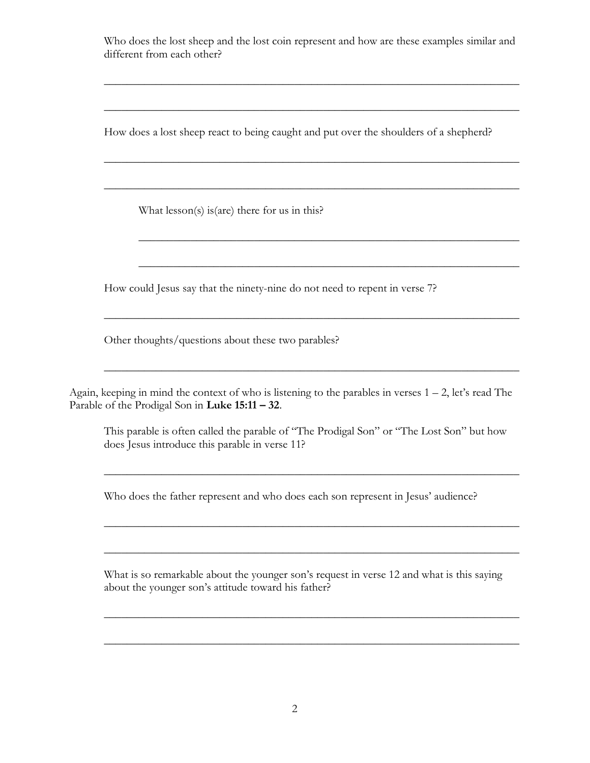Who does the lost sheep and the lost coin represent and how are these examples similar and different from each other?

 $\overline{\phantom{a}}$  , and the contract of the contract of the contract of the contract of the contract of the contract of the contract of the contract of the contract of the contract of the contract of the contract of the contrac

 $\overline{\phantom{a}}$  , and the contract of the contract of the contract of the contract of the contract of the contract of the contract of the contract of the contract of the contract of the contract of the contract of the contrac

\_\_\_\_\_\_\_\_\_\_\_\_\_\_\_\_\_\_\_\_\_\_\_\_\_\_\_\_\_\_\_\_\_\_\_\_\_\_\_\_\_\_\_\_\_\_\_\_\_\_\_\_\_\_\_\_\_\_\_\_\_\_\_\_\_\_

 $\overline{\phantom{a}}$  , and the contract of the contract of the contract of the contract of the contract of the contract of the contract of the contract of the contract of the contract of the contract of the contract of the contrac

 $\overline{\phantom{a}}$  , and the contract of the contract of the contract of the contract of the contract of the contract of the contract of the contract of the contract of the contract of the contract of the contract of the contrac

 $\mathcal{L}_\mathcal{L} = \mathcal{L}_\mathcal{L} = \mathcal{L}_\mathcal{L} = \mathcal{L}_\mathcal{L} = \mathcal{L}_\mathcal{L} = \mathcal{L}_\mathcal{L} = \mathcal{L}_\mathcal{L} = \mathcal{L}_\mathcal{L} = \mathcal{L}_\mathcal{L} = \mathcal{L}_\mathcal{L} = \mathcal{L}_\mathcal{L} = \mathcal{L}_\mathcal{L} = \mathcal{L}_\mathcal{L} = \mathcal{L}_\mathcal{L} = \mathcal{L}_\mathcal{L} = \mathcal{L}_\mathcal{L} = \mathcal{L}_\mathcal{L}$ 

 $\overline{\phantom{a}}$  , and the contract of the contract of the contract of the contract of the contract of the contract of the contract of the contract of the contract of the contract of the contract of the contract of the contrac

How does a lost sheep react to being caught and put over the shoulders of a shepherd?

What lesson(s) is(are) there for us in this?

How could Jesus say that the ninety-nine do not need to repent in verse 7?

Other thoughts/questions about these two parables?

Again, keeping in mind the context of who is listening to the parables in verses  $1 - 2$ , let's read The Parable of the Prodigal Son in Luke 15:11 – 32.

This parable is often called the parable of "The Prodigal Son" or "The Lost Son" but how does Jesus introduce this parable in verse 11?

 $\mathcal{L}_\mathcal{L} = \mathcal{L}_\mathcal{L} = \mathcal{L}_\mathcal{L} = \mathcal{L}_\mathcal{L} = \mathcal{L}_\mathcal{L} = \mathcal{L}_\mathcal{L} = \mathcal{L}_\mathcal{L} = \mathcal{L}_\mathcal{L} = \mathcal{L}_\mathcal{L} = \mathcal{L}_\mathcal{L} = \mathcal{L}_\mathcal{L} = \mathcal{L}_\mathcal{L} = \mathcal{L}_\mathcal{L} = \mathcal{L}_\mathcal{L} = \mathcal{L}_\mathcal{L} = \mathcal{L}_\mathcal{L} = \mathcal{L}_\mathcal{L}$ 

 $\frac{1}{2}$  ,  $\frac{1}{2}$  ,  $\frac{1}{2}$  ,  $\frac{1}{2}$  ,  $\frac{1}{2}$  ,  $\frac{1}{2}$  ,  $\frac{1}{2}$  ,  $\frac{1}{2}$  ,  $\frac{1}{2}$  ,  $\frac{1}{2}$  ,  $\frac{1}{2}$  ,  $\frac{1}{2}$  ,  $\frac{1}{2}$  ,  $\frac{1}{2}$  ,  $\frac{1}{2}$  ,  $\frac{1}{2}$  ,  $\frac{1}{2}$  ,  $\frac{1}{2}$  ,  $\frac{1$ 

 $\_$  ,  $\_$  ,  $\_$  ,  $\_$  ,  $\_$  ,  $\_$  ,  $\_$  ,  $\_$  ,  $\_$  ,  $\_$  ,  $\_$  ,  $\_$  ,  $\_$  ,  $\_$  ,  $\_$  ,  $\_$  ,  $\_$  ,  $\_$ 

Who does the father represent and who does each son represent in Jesus' audience?

What is so remarkable about the younger son's request in verse 12 and what is this saying about the younger son's attitude toward his father?

 $\overline{\phantom{a}}$  , and the contract of the contract of the contract of the contract of the contract of the contract of the contract of the contract of the contract of the contract of the contract of the contract of the contrac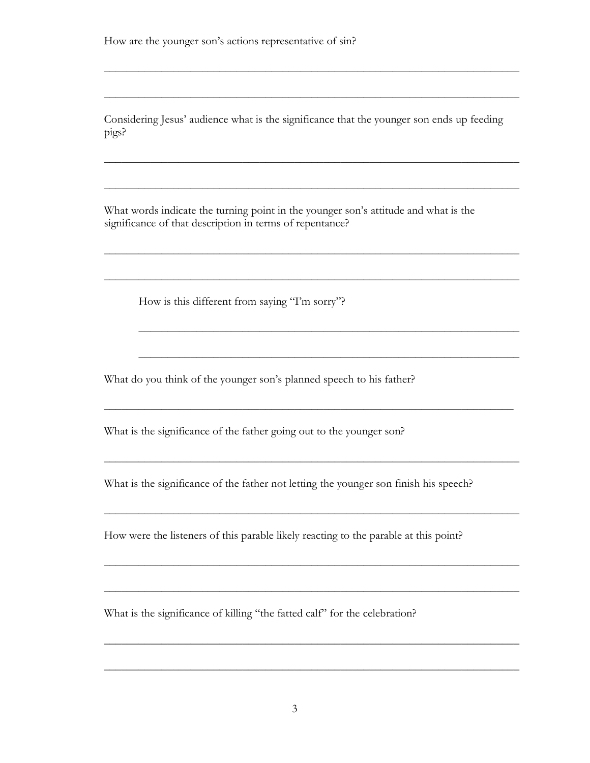Considering Jesus' audience what is the significance that the younger son ends up feeding pigs?

 $\overline{\phantom{a}}$  , and the contract of the contract of the contract of the contract of the contract of the contract of the contract of the contract of the contract of the contract of the contract of the contract of the contrac

 $\overline{\phantom{a}}$  , and the contract of the contract of the contract of the contract of the contract of the contract of the contract of the contract of the contract of the contract of the contract of the contract of the contrac

 $\overline{\phantom{a}}$  , and the contract of the contract of the contract of the contract of the contract of the contract of the contract of the contract of the contract of the contract of the contract of the contract of the contrac

 $\overline{\phantom{a}}$  , and the contract of the contract of the contract of the contract of the contract of the contract of the contract of the contract of the contract of the contract of the contract of the contract of the contrac

 $\frac{1}{2}$  ,  $\frac{1}{2}$  ,  $\frac{1}{2}$  ,  $\frac{1}{2}$  ,  $\frac{1}{2}$  ,  $\frac{1}{2}$  ,  $\frac{1}{2}$  ,  $\frac{1}{2}$  ,  $\frac{1}{2}$  ,  $\frac{1}{2}$  ,  $\frac{1}{2}$  ,  $\frac{1}{2}$  ,  $\frac{1}{2}$  ,  $\frac{1}{2}$  ,  $\frac{1}{2}$  ,  $\frac{1}{2}$  ,  $\frac{1}{2}$  ,  $\frac{1}{2}$  ,  $\frac{1$ 

 $\overline{\phantom{a}}$  , and the contract of the contract of the contract of the contract of the contract of the contract of the contract of the contract of the contract of the contract of the contract of the contract of the contrac

 $\overline{\phantom{a}}$  , and the contract of the contract of the contract of the contract of the contract of the contract of the contract of the contract of the contract of the contract of the contract of the contract of the contrac

 $\overline{\phantom{a}}$  , and the contract of the contract of the contract of the contract of the contract of the contract of the contract of the contract of the contract of the contract of the contract of the contract of the contrac

 $\overline{\phantom{a}}$  , and the contract of the contract of the contract of the contract of the contract of the contract of the contract of the contract of the contract of the contract of the contract of the contract of the contrac

 $\overline{\phantom{a}}$  , and the contract of the contract of the contract of the contract of the contract of the contract of the contract of the contract of the contract of the contract of the contract of the contract of the contrac

 $\_$  ,  $\_$  ,  $\_$  ,  $\_$  ,  $\_$  ,  $\_$  ,  $\_$  ,  $\_$  ,  $\_$  ,  $\_$  ,  $\_$  ,  $\_$  ,  $\_$  ,  $\_$  ,  $\_$ 

 $\overline{\phantom{a}}$  , and the contract of the contract of the contract of the contract of the contract of the contract of the contract of the contract of the contract of the contract of the contract of the contract of the contrac

What words indicate the turning point in the younger son's attitude and what is the significance of that description in terms of repentance?

\_\_\_\_\_\_\_\_\_\_\_\_\_\_\_\_\_\_\_\_\_\_\_\_\_\_\_\_\_\_\_\_\_\_\_\_\_\_\_\_\_\_\_\_\_\_\_\_\_\_\_\_\_\_\_\_\_\_\_\_\_\_\_\_\_\_\_\_\_\_\_\_

How is this different from saying "I'm sorry"?

What do you think of the younger son's planned speech to his father?

What is the significance of the father going out to the younger son?

What is the significance of the father not letting the younger son finish his speech?

How were the listeners of this parable likely reacting to the parable at this point?

What is the significance of killing "the fatted calf" for the celebration?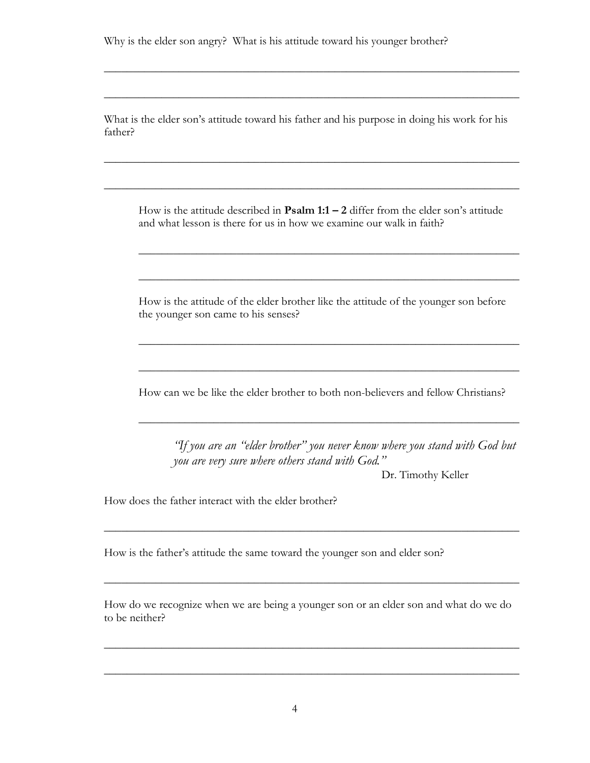Why is the elder son angry? What is his attitude toward his younger brother?

What is the elder son's attitude toward his father and his purpose in doing his work for his father?

 $\overline{\phantom{a}}$  , and the contract of the contract of the contract of the contract of the contract of the contract of the contract of the contract of the contract of the contract of the contract of the contract of the contrac

 $\overline{\phantom{a}}$  , and the contract of the contract of the contract of the contract of the contract of the contract of the contract of the contract of the contract of the contract of the contract of the contract of the contrac

 $\overline{\phantom{a}}$  , and the contract of the contract of the contract of the contract of the contract of the contract of the contract of the contract of the contract of the contract of the contract of the contract of the contrac

 $\overline{\phantom{a}}$  , and the contract of the contract of the contract of the contract of the contract of the contract of the contract of the contract of the contract of the contract of the contract of the contract of the contrac

How is the attitude described in **Psalm 1:1 – 2** differ from the elder son's attitude and what lesson is there for us in how we examine our walk in faith?

 $\overline{\phantom{a}}$  , and the contract of the contract of the contract of the contract of the contract of the contract of the contract of the contract of the contract of the contract of the contract of the contract of the contrac

 $\overline{\phantom{a}}$  , and the contract of the contract of the contract of the contract of the contract of the contract of the contract of the contract of the contract of the contract of the contract of the contract of the contrac

 $\overline{\phantom{a}}$  , and the contract of the contract of the contract of the contract of the contract of the contract of the contract of the contract of the contract of the contract of the contract of the contract of the contrac

 $\overline{\phantom{a}}$  , and the contract of the contract of the contract of the contract of the contract of the contract of the contract of the contract of the contract of the contract of the contract of the contract of the contrac

 $\overline{\phantom{a}}$  , and the contract of the contract of the contract of the contract of the contract of the contract of the contract of the contract of the contract of the contract of the contract of the contract of the contrac

How is the attitude of the elder brother like the attitude of the younger son before the younger son came to his senses?

How can we be like the elder brother to both non-believers and fellow Christians?

"If you are an "elder brother" you never know where you stand with God but you are very sure where others stand with God."

Dr. Timothy Keller

How does the father interact with the elder brother?

How is the father's attitude the same toward the younger son and elder son?

How do we recognize when we are being a younger son or an elder son and what do we do to be neither?

 $\overline{\phantom{a}}$  , and the contract of the contract of the contract of the contract of the contract of the contract of the contract of the contract of the contract of the contract of the contract of the contract of the contrac

 $\overline{\phantom{a}}$  , and the contract of the contract of the contract of the contract of the contract of the contract of the contract of the contract of the contract of the contract of the contract of the contract of the contrac

 $\overline{\phantom{a}}$  , and the contract of the contract of the contract of the contract of the contract of the contract of the contract of the contract of the contract of the contract of the contract of the contract of the contrac